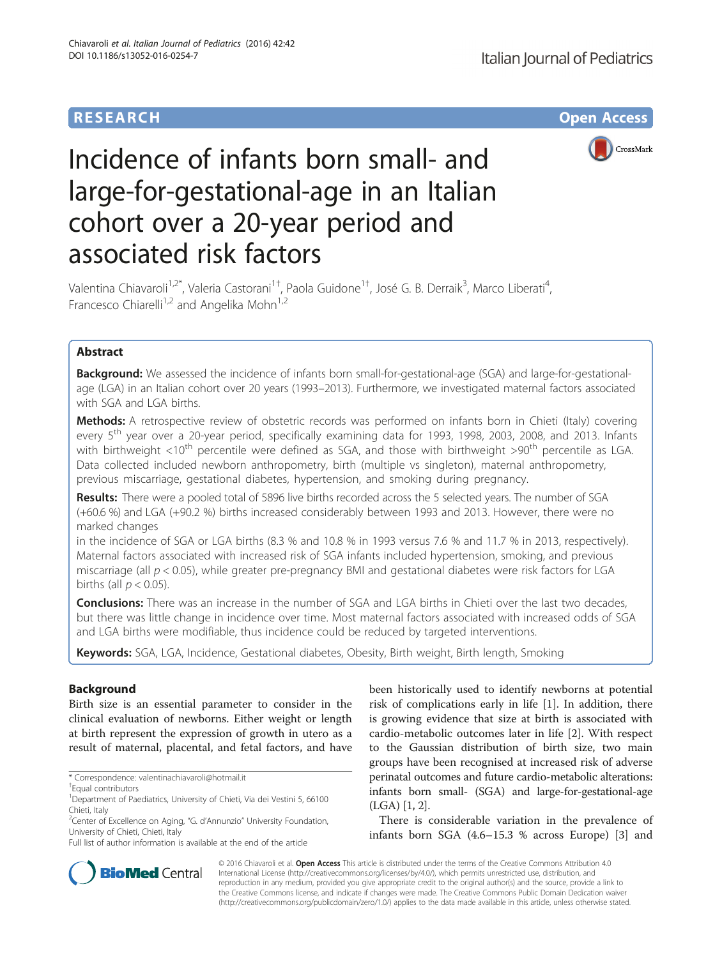# **RESEARCH CHE Open Access**



# Incidence of infants born small- and large-for-gestational-age in an Italian cohort over a 20-year period and associated risk factors

Valentina Chiavaroli<sup>1,2\*</sup>, Valeria Castorani<sup>1†</sup>, Paola Guidone<sup>1†</sup>, José G. B. Derraik<sup>3</sup>, Marco Liberati<sup>4</sup> , Francesco Chiarelli<sup>1,2</sup> and Angelika Mohn<sup>1,2</sup>

# Abstract

Background: We assessed the incidence of infants born small-for-gestational-age (SGA) and large-for-gestationalage (LGA) in an Italian cohort over 20 years (1993–2013). Furthermore, we investigated maternal factors associated with SGA and LGA births.

Methods: A retrospective review of obstetric records was performed on infants born in Chieti (Italy) covering every 5<sup>th</sup> year over a 20-year period, specifically examining data for 1993, 1998, 2003, 2008, and 2013. Infants with birthweight <10<sup>th</sup> percentile were defined as SGA, and those with birthweight >90<sup>th</sup> percentile as LGA. Data collected included newborn anthropometry, birth (multiple vs singleton), maternal anthropometry, previous miscarriage, gestational diabetes, hypertension, and smoking during pregnancy.

Results: There were a pooled total of 5896 live births recorded across the 5 selected years. The number of SGA (+60.6 %) and LGA (+90.2 %) births increased considerably between 1993 and 2013. However, there were no marked changes

in the incidence of SGA or LGA births (8.3 % and 10.8 % in 1993 versus 7.6 % and 11.7 % in 2013, respectively). Maternal factors associated with increased risk of SGA infants included hypertension, smoking, and previous miscarriage (all  $p < 0.05$ ), while greater pre-pregnancy BMI and gestational diabetes were risk factors for LGA births (all  $p < 0.05$ ).

**Conclusions:** There was an increase in the number of SGA and LGA births in Chieti over the last two decades, but there was little change in incidence over time. Most maternal factors associated with increased odds of SGA and LGA births were modifiable, thus incidence could be reduced by targeted interventions.

Keywords: SGA, LGA, Incidence, Gestational diabetes, Obesity, Birth weight, Birth length, Smoking

## Background

Birth size is an essential parameter to consider in the clinical evaluation of newborns. Either weight or length at birth represent the expression of growth in utero as a result of maternal, placental, and fetal factors, and have

been historically used to identify newborns at potential risk of complications early in life [\[1\]](#page-5-0). In addition, there is growing evidence that size at birth is associated with cardio-metabolic outcomes later in life [[2](#page-5-0)]. With respect to the Gaussian distribution of birth size, two main groups have been recognised at increased risk of adverse perinatal outcomes and future cardio-metabolic alterations: infants born small- (SGA) and large-for-gestational-age (LGA) [[1](#page-5-0), [2\]](#page-5-0).

There is considerable variation in the prevalence of infants born SGA (4.6–15.3 % across Europe) [[3\]](#page-5-0) and



© 2016 Chiavaroli et al. Open Access This article is distributed under the terms of the Creative Commons Attribution 4.0 International License [\(http://creativecommons.org/licenses/by/4.0/](http://creativecommons.org/licenses/by/4.0/)), which permits unrestricted use, distribution, and reproduction in any medium, provided you give appropriate credit to the original author(s) and the source, provide a link to the Creative Commons license, and indicate if changes were made. The Creative Commons Public Domain Dedication waiver [\(http://creativecommons.org/publicdomain/zero/1.0/](http://creativecommons.org/publicdomain/zero/1.0/)) applies to the data made available in this article, unless otherwise stated.

<sup>\*</sup> Correspondence: [valentinachiavaroli@hotmail.it](mailto:valentinachiavaroli@hotmail.it) †

Equal contributors

<sup>&</sup>lt;sup>1</sup>Department of Paediatrics, University of Chieti, Via dei Vestini 5, 66100 Chieti, Italy

<sup>2</sup> Center of Excellence on Aging, "G. d'Annunzio" University Foundation, University of Chieti, Chieti, Italy

Full list of author information is available at the end of the article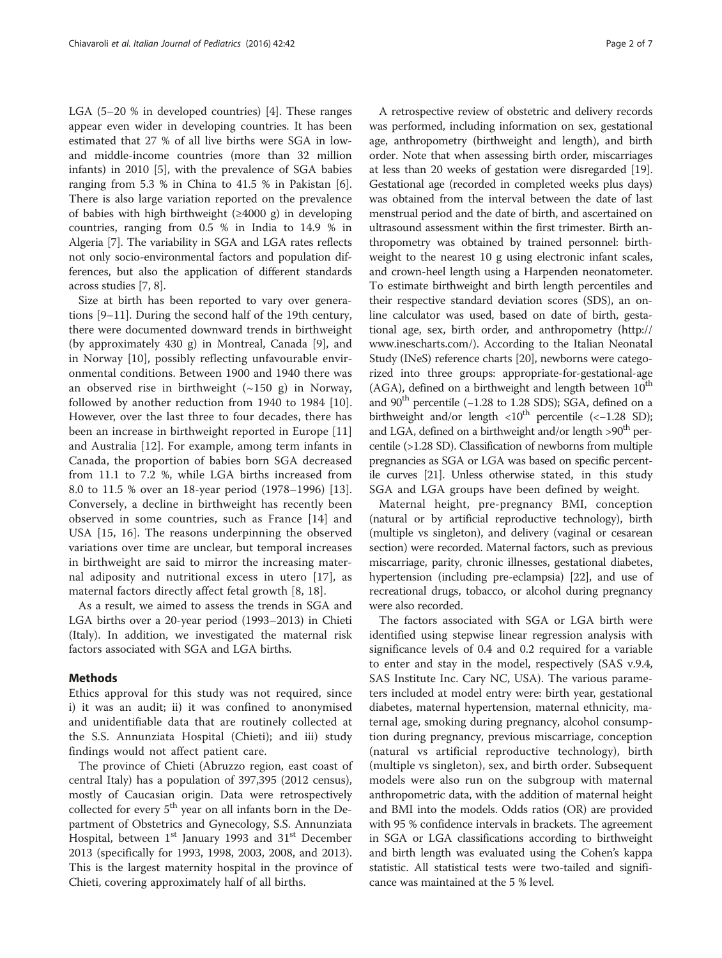LGA (5–20 % in developed countries) [\[4](#page-5-0)]. These ranges appear even wider in developing countries. It has been estimated that 27 % of all live births were SGA in lowand middle-income countries (more than 32 million infants) in 2010 [\[5\]](#page-5-0), with the prevalence of SGA babies ranging from 5.3 % in China to 41.5 % in Pakistan [\[6](#page-5-0)]. There is also large variation reported on the prevalence of babies with high birthweight  $(\geq 4000 \text{ g})$  in developing countries, ranging from 0.5 % in India to 14.9 % in Algeria [[7](#page-5-0)]. The variability in SGA and LGA rates reflects not only socio-environmental factors and population differences, but also the application of different standards across studies [\[7](#page-5-0), [8\]](#page-5-0).

Size at birth has been reported to vary over generations [[9](#page-5-0)–[11\]](#page-6-0). During the second half of the 19th century, there were documented downward trends in birthweight (by approximately 430 g) in Montreal, Canada [\[9\]](#page-5-0), and in Norway [\[10](#page-5-0)], possibly reflecting unfavourable environmental conditions. Between 1900 and 1940 there was an observed rise in birthweight  $(\sim 150 \text{ g})$  in Norway, followed by another reduction from 1940 to 1984 [\[10](#page-5-0)]. However, over the last three to four decades, there has been an increase in birthweight reported in Europe [\[11](#page-6-0)] and Australia [[12\]](#page-6-0). For example, among term infants in Canada, the proportion of babies born SGA decreased from 11.1 to 7.2 %, while LGA births increased from 8.0 to 11.5 % over an 18-year period (1978–1996) [\[13](#page-6-0)]. Conversely, a decline in birthweight has recently been observed in some countries, such as France [\[14](#page-6-0)] and USA [[15](#page-6-0), [16\]](#page-6-0). The reasons underpinning the observed variations over time are unclear, but temporal increases in birthweight are said to mirror the increasing maternal adiposity and nutritional excess in utero [[17\]](#page-6-0), as maternal factors directly affect fetal growth [[8,](#page-5-0) [18\]](#page-6-0).

As a result, we aimed to assess the trends in SGA and LGA births over a 20-year period (1993–2013) in Chieti (Italy). In addition, we investigated the maternal risk factors associated with SGA and LGA births.

## Methods

Ethics approval for this study was not required, since i) it was an audit; ii) it was confined to anonymised and unidentifiable data that are routinely collected at the S.S. Annunziata Hospital (Chieti); and iii) study findings would not affect patient care.

The province of Chieti (Abruzzo region, east coast of central Italy) has a population of 397,395 (2012 census), mostly of Caucasian origin. Data were retrospectively collected for every 5<sup>th</sup> year on all infants born in the Department of Obstetrics and Gynecology, S.S. Annunziata Hospital, between  $1<sup>st</sup>$  January 1993 and  $31<sup>st</sup>$  December 2013 (specifically for 1993, 1998, 2003, 2008, and 2013). This is the largest maternity hospital in the province of Chieti, covering approximately half of all births.

A retrospective review of obstetric and delivery records was performed, including information on sex, gestational age, anthropometry (birthweight and length), and birth order. Note that when assessing birth order, miscarriages at less than 20 weeks of gestation were disregarded [[19](#page-6-0)]. Gestational age (recorded in completed weeks plus days) was obtained from the interval between the date of last menstrual period and the date of birth, and ascertained on ultrasound assessment within the first trimester. Birth anthropometry was obtained by trained personnel: birthweight to the nearest 10 g using electronic infant scales, and crown-heel length using a Harpenden neonatometer. To estimate birthweight and birth length percentiles and their respective standard deviation scores (SDS), an online calculator was used, based on date of birth, gestational age, sex, birth order, and anthropometry ([http://](http://www.inescharts.com/) [www.inescharts.com/](http://www.inescharts.com/)). According to the Italian Neonatal Study (INeS) reference charts [\[20](#page-6-0)], newborns were categorized into three groups: appropriate-for-gestational-age (AGA), defined on a birthweight and length between  $10^{th}$ and  $90<sup>th</sup>$  percentile (−1.28 to 1.28 SDS); SGA, defined on a birthweight and/or length  $\langle 10^{th}$  percentile ( $\langle -1.28 \text{ SD} \rangle$ ; and LGA, defined on a birthweight and/or length  $>90<sup>th</sup>$  percentile (>1.28 SD). Classification of newborns from multiple pregnancies as SGA or LGA was based on specific percentile curves [[21](#page-6-0)]. Unless otherwise stated, in this study SGA and LGA groups have been defined by weight.

Maternal height, pre-pregnancy BMI, conception (natural or by artificial reproductive technology), birth (multiple vs singleton), and delivery (vaginal or cesarean section) were recorded. Maternal factors, such as previous miscarriage, parity, chronic illnesses, gestational diabetes, hypertension (including pre-eclampsia) [\[22\]](#page-6-0), and use of recreational drugs, tobacco, or alcohol during pregnancy were also recorded.

The factors associated with SGA or LGA birth were identified using stepwise linear regression analysis with significance levels of 0.4 and 0.2 required for a variable to enter and stay in the model, respectively (SAS v.9.4, SAS Institute Inc. Cary NC, USA). The various parameters included at model entry were: birth year, gestational diabetes, maternal hypertension, maternal ethnicity, maternal age, smoking during pregnancy, alcohol consumption during pregnancy, previous miscarriage, conception (natural vs artificial reproductive technology), birth (multiple vs singleton), sex, and birth order. Subsequent models were also run on the subgroup with maternal anthropometric data, with the addition of maternal height and BMI into the models. Odds ratios (OR) are provided with 95 % confidence intervals in brackets. The agreement in SGA or LGA classifications according to birthweight and birth length was evaluated using the Cohen's kappa statistic. All statistical tests were two-tailed and significance was maintained at the 5 % level.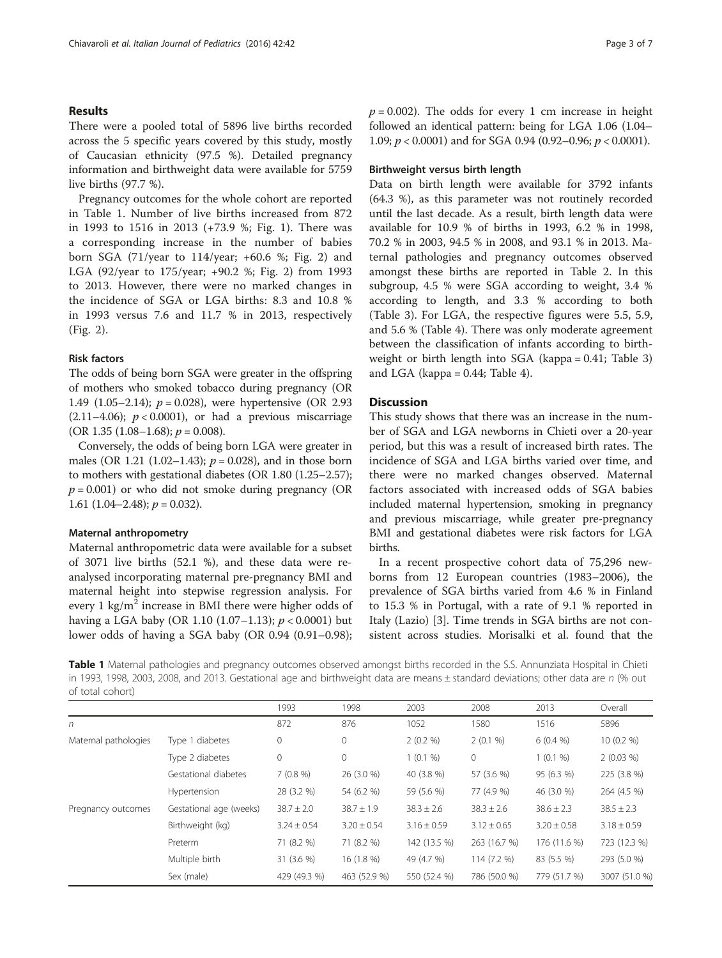## Results

# There were a pooled total of 5896 live births recorded across the 5 specific years covered by this study, mostly of Caucasian ethnicity (97.5 %). Detailed pregnancy information and birthweight data were available for 5759 live births (97.7 %).

Pregnancy outcomes for the whole cohort are reported in Table 1. Number of live births increased from 872 in 1993 to 1516 in 2013 (+73.9 %; Fig. [1](#page-3-0)). There was a corresponding increase in the number of babies born SGA (71/year to 114/year; +60.6 %; Fig. [2](#page-3-0)) and LGA (92/year to 175/year; +90.2 %; Fig. [2\)](#page-3-0) from 1993 to 2013. However, there were no marked changes in the incidence of SGA or LGA births: 8.3 and 10.8 % in 1993 versus 7.6 and 11.7 % in 2013, respectively (Fig. [2\)](#page-3-0).

## Risk factors

The odds of being born SGA were greater in the offspring of mothers who smoked tobacco during pregnancy (OR 1.49 (1.05–2.14);  $p = 0.028$ ), were hypertensive (OR 2.93 (2.11–4.06);  $p < 0.0001$ ), or had a previous miscarriage (OR 1.35 (1.08–1.68);  $p = 0.008$ ).

Conversely, the odds of being born LGA were greater in males (OR 1.21 (1.02–1.43);  $p = 0.028$ ), and in those born to mothers with gestational diabetes (OR 1.80 (1.25–2.57);  $p = 0.001$ ) or who did not smoke during pregnancy (OR 1.61  $(1.04-2.48); p = 0.032$ .

### Maternal anthropometry

Maternal anthropometric data were available for a subset of 3071 live births (52.1 %), and these data were reanalysed incorporating maternal pre-pregnancy BMI and maternal height into stepwise regression analysis. For every 1 kg/ $m<sup>2</sup>$  increase in BMI there were higher odds of having a LGA baby (OR 1.10 (1.07–1.13); p < 0.0001) but lower odds of having a SGA baby (OR 0.94 (0.91–0.98);  $p = 0.002$ ). The odds for every 1 cm increase in height followed an identical pattern: being for LGA 1.06 (1.04– 1.09;  $p < 0.0001$ ) and for SGA 0.94 (0.92–0.96;  $p < 0.0001$ ).

## Birthweight versus birth length

Data on birth length were available for 3792 infants (64.3 %), as this parameter was not routinely recorded until the last decade. As a result, birth length data were available for 10.9 % of births in 1993, 6.2 % in 1998, 70.2 % in 2003, 94.5 % in 2008, and 93.1 % in 2013. Maternal pathologies and pregnancy outcomes observed amongst these births are reported in Table [2.](#page-4-0) In this subgroup, 4.5 % were SGA according to weight, 3.4 % according to length, and 3.3 % according to both (Table [3\)](#page-4-0). For LGA, the respective figures were 5.5, 5.9, and 5.6 % (Table [4\)](#page-4-0). There was only moderate agreement between the classification of infants according to birthweight or birth length into SGA (kappa = 0.41; Table [3](#page-4-0)) and LGA (kappa  $= 0.44$ ; Table [4](#page-4-0)).

## **Discussion**

This study shows that there was an increase in the number of SGA and LGA newborns in Chieti over a 20-year period, but this was a result of increased birth rates. The incidence of SGA and LGA births varied over time, and there were no marked changes observed. Maternal factors associated with increased odds of SGA babies included maternal hypertension, smoking in pregnancy and previous miscarriage, while greater pre-pregnancy BMI and gestational diabetes were risk factors for LGA births.

In a recent prospective cohort data of 75,296 newborns from 12 European countries (1983–2006), the prevalence of SGA births varied from 4.6 % in Finland to 15.3 % in Portugal, with a rate of 9.1 % reported in Italy (Lazio) [\[3](#page-5-0)]. Time trends in SGA births are not consistent across studies. Morisalki et al. found that the

Table 1 Maternal pathologies and pregnancy outcomes observed amongst births recorded in the S.S. Annunziata Hospital in Chieti in 1993, 1998, 2003, 2008, and 2013. Gestational age and birthweight data are means  $\pm$  standard deviations; other data are n (% out of total cohort)

|                      |                         | 1993            | 1998            | 2003            | 2008            | 2013            | Overall         |
|----------------------|-------------------------|-----------------|-----------------|-----------------|-----------------|-----------------|-----------------|
| n                    |                         | 872             | 876             | 1052            | 1580            | 1516            | 5896            |
| Maternal pathologies | Type 1 diabetes         | 0               | $\mathbf{0}$    | 2(0.2%          | 2(0.1%          | 6(0.4%          | 10(0.2%         |
|                      | Type 2 diabetes         | 0               | 0               | 1(0.1%          | $\circ$         | 1(0.1%          | 2(0.03%)        |
|                      | Gestational diabetes    | 7(0.8%)         | 26 (3.0 %)      | 40 (3.8 %)      | 57 (3.6 %)      | 95 (6.3 %)      | 225 (3.8 %)     |
|                      | Hypertension            | 28 (3.2 %)      | 54 (6.2 %)      | 59 (5.6 %)      | 77 (4.9 %)      | 46 (3.0 %)      | 264 (4.5 %)     |
| Pregnancy outcomes   | Gestational age (weeks) | $38.7 \pm 2.0$  | $38.7 \pm 1.9$  | $38.3 \pm 2.6$  | $38.3 \pm 2.6$  | $38.6 \pm 2.3$  | $38.5 \pm 2.3$  |
|                      | Birthweight (kg)        | $3.24 \pm 0.54$ | $3.20 \pm 0.54$ | $3.16 \pm 0.59$ | $3.12 \pm 0.65$ | $3.20 \pm 0.58$ | $3.18 \pm 0.59$ |
|                      | Preterm                 | 71 (8.2 %)      | 71 (8.2 %)      | 142 (13.5 %)    | 263 (16.7 %)    | 176 (11.6 %)    | 723 (12.3 %)    |
|                      | Multiple birth          | 31 (3.6 %)      | 16 (1.8 %)      | 49 (4.7 %)      | 114 (7.2 %)     | 83 (5.5 %)      | 293 (5.0 %)     |
|                      | Sex (male)              | 429 (49.3 %)    | 463 (52.9 %)    | 550 (52.4 %)    | 786 (50.0 %)    | 779 (51.7 %)    | 3007 (51.0 %)   |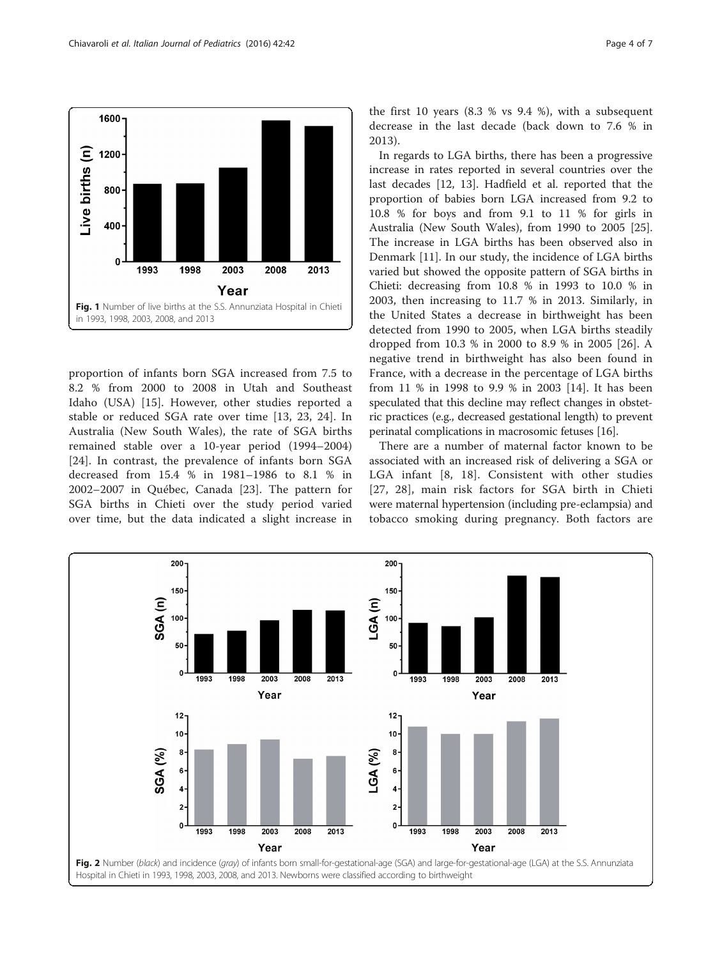<span id="page-3-0"></span>

proportion of infants born SGA increased from 7.5 to 8.2 % from 2000 to 2008 in Utah and Southeast Idaho (USA) [[15\]](#page-6-0). However, other studies reported a stable or reduced SGA rate over time [[13, 23](#page-6-0), [24\]](#page-6-0). In Australia (New South Wales), the rate of SGA births remained stable over a 10-year period (1994–2004) [[24\]](#page-6-0). In contrast, the prevalence of infants born SGA decreased from 15.4 % in 1981–1986 to 8.1 % in 2002–2007 in Québec, Canada [[23\]](#page-6-0). The pattern for SGA births in Chieti over the study period varied over time, but the data indicated a slight increase in the first 10 years (8.3 % vs 9.4 %), with a subsequent decrease in the last decade (back down to 7.6 % in 2013).

In regards to LGA births, there has been a progressive increase in rates reported in several countries over the last decades [\[12](#page-6-0), [13\]](#page-6-0). Hadfield et al. reported that the proportion of babies born LGA increased from 9.2 to 10.8 % for boys and from 9.1 to 11 % for girls in Australia (New South Wales), from 1990 to 2005 [\[25](#page-6-0)]. The increase in LGA births has been observed also in Denmark [\[11\]](#page-6-0). In our study, the incidence of LGA births varied but showed the opposite pattern of SGA births in Chieti: decreasing from 10.8 % in 1993 to 10.0 % in 2003, then increasing to 11.7 % in 2013. Similarly, in the United States a decrease in birthweight has been detected from 1990 to 2005, when LGA births steadily dropped from 10.3 % in 2000 to 8.9 % in 2005 [\[26](#page-6-0)]. A negative trend in birthweight has also been found in France, with a decrease in the percentage of LGA births from 11 % in 1998 to 9.9 % in 2003 [[14\]](#page-6-0). It has been speculated that this decline may reflect changes in obstetric practices (e.g., decreased gestational length) to prevent perinatal complications in macrosomic fetuses [\[16](#page-6-0)].

There are a number of maternal factor known to be associated with an increased risk of delivering a SGA or LGA infant [\[8,](#page-5-0) [18\]](#page-6-0). Consistent with other studies [[27](#page-6-0), [28](#page-6-0)], main risk factors for SGA birth in Chieti were maternal hypertension (including pre-eclampsia) and tobacco smoking during pregnancy. Both factors are

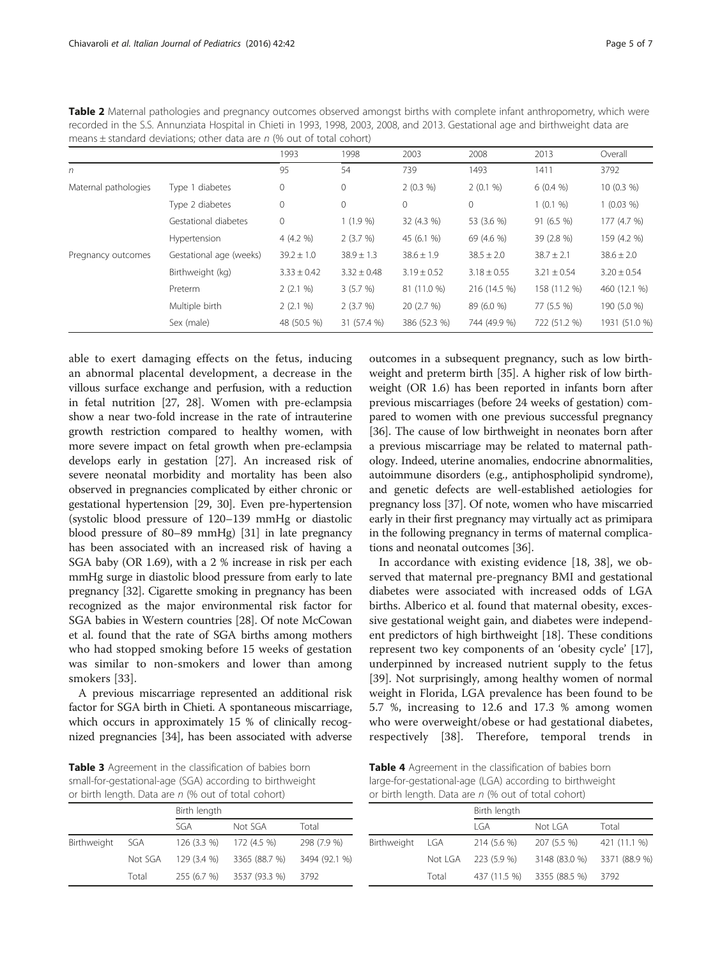<span id="page-4-0"></span>

| means $\pm$ standard deviations; other data are n (% out of total cohort)                                                        |  |  |  |  |
|----------------------------------------------------------------------------------------------------------------------------------|--|--|--|--|
| recorded in the S.S. Annunziata Hospital in Chieti in 1993, 1998, 2003, 2008, and 2013. Gestational age and birthweight data are |  |  |  |  |
| Table 2 Maternal pathologies and pregnancy outcomes observed amongst births with complete infant anthropometry, which were       |  |  |  |  |

|                      |                         | 1993            | 1998            | 2003            | 2008            | 2013            | Overall         |
|----------------------|-------------------------|-----------------|-----------------|-----------------|-----------------|-----------------|-----------------|
| n                    |                         | 95              | 54              | 739             | 1493            | 1411            | 3792            |
| Maternal pathologies | Type 1 diabetes         | $\circ$         | $\mathbf{0}$    | $2(0.3\%)$      | 2(0.1%          | $6(0.4\%)$      | $10(0.3\%)$     |
|                      | Type 2 diabetes         | $\circ$         | 0               | 0               | 0               | $1(0.1\%)$      | $1(0.03\%)$     |
|                      | Gestational diabetes    | $\mathbf{0}$    | $1(1.9\%)$      | 32 (4.3 %)      | 53 (3.6 %)      | 91(6.5%)        | 177 (4.7 %)     |
|                      | Hypertension            | 4(4.2%          | 2(3.7%)         | 45 (6.1 %)      | 69 (4.6 %)      | 39 (2.8 %)      | 159 (4.2 %)     |
| Pregnancy outcomes   | Gestational age (weeks) | $39.2 \pm 1.0$  | $38.9 \pm 1.3$  | $38.6 \pm 1.9$  | $38.5 \pm 2.0$  | $38.7 \pm 2.1$  | $38.6 \pm 2.0$  |
|                      | Birthweight (kg)        | $3.33 \pm 0.42$ | $3.32 \pm 0.48$ | $3.19 \pm 0.52$ | $3.18 \pm 0.55$ | $3.21 \pm 0.54$ | $3.20 \pm 0.54$ |
|                      | Preterm                 | 2(2.1%          | 3(5.7%)         | 81 (11.0 %)     | 216 (14.5 %)    | 158 (11.2 %)    | 460 (12.1 %)    |
|                      | Multiple birth          | 2(2.1%          | 2(3.7%)         | 20 (2.7 %)      | 89 (6.0 %)      | 77 (5.5 %)      | 190 (5.0 %)     |
|                      | Sex (male)              | 48 (50.5 %)     | 31 (57.4 %)     | 386 (52.3 %)    | 744 (49.9 %)    | 722 (51.2 %)    | 1931 (51.0 %)   |

able to exert damaging effects on the fetus, inducing an abnormal placental development, a decrease in the villous surface exchange and perfusion, with a reduction in fetal nutrition [\[27](#page-6-0), [28](#page-6-0)]. Women with pre-eclampsia show a near two-fold increase in the rate of intrauterine growth restriction compared to healthy women, with more severe impact on fetal growth when pre-eclampsia develops early in gestation [\[27\]](#page-6-0). An increased risk of severe neonatal morbidity and mortality has been also observed in pregnancies complicated by either chronic or gestational hypertension [\[29, 30\]](#page-6-0). Even pre-hypertension (systolic blood pressure of 120–139 mmHg or diastolic blood pressure of 80–89 mmHg) [[31](#page-6-0)] in late pregnancy has been associated with an increased risk of having a SGA baby (OR 1.69), with a 2 % increase in risk per each mmHg surge in diastolic blood pressure from early to late pregnancy [\[32\]](#page-6-0). Cigarette smoking in pregnancy has been recognized as the major environmental risk factor for SGA babies in Western countries [\[28\]](#page-6-0). Of note McCowan et al. found that the rate of SGA births among mothers who had stopped smoking before 15 weeks of gestation was similar to non-smokers and lower than among smokers [\[33](#page-6-0)].

A previous miscarriage represented an additional risk factor for SGA birth in Chieti. A spontaneous miscarriage, which occurs in approximately 15 % of clinically recognized pregnancies [\[34](#page-6-0)], has been associated with adverse

Table 3 Agreement in the classification of babies born small-for-gestational-age (SGA) according to birthweight or birth length. Data are n (% out of total cohort)

|             |         | Birth length |               |               |  |
|-------------|---------|--------------|---------------|---------------|--|
|             |         | SGA          | Not SGA       | Total         |  |
| Birthweight | SGA     | 126 (3.3 %)  | 172 (4.5 %)   | 298 (7.9 %)   |  |
|             | Not SGA | 129 (3.4 %)  | 3365 (88.7 %) | 3494 (92.1 %) |  |
|             | Total   | 255 (6.7 %)  | 3537 (93.3 %) | 3792          |  |

outcomes in a subsequent pregnancy, such as low birthweight and preterm birth [\[35\]](#page-6-0). A higher risk of low birthweight (OR 1.6) has been reported in infants born after previous miscarriages (before 24 weeks of gestation) compared to women with one previous successful pregnancy [[36](#page-6-0)]. The cause of low birthweight in neonates born after a previous miscarriage may be related to maternal pathology. Indeed, uterine anomalies, endocrine abnormalities, autoimmune disorders (e.g., antiphospholipid syndrome), and genetic defects are well-established aetiologies for pregnancy loss [[37](#page-6-0)]. Of note, women who have miscarried early in their first pregnancy may virtually act as primipara in the following pregnancy in terms of maternal complications and neonatal outcomes [[36](#page-6-0)].

In accordance with existing evidence [[18](#page-6-0), [38](#page-6-0)], we observed that maternal pre-pregnancy BMI and gestational diabetes were associated with increased odds of LGA births. Alberico et al. found that maternal obesity, excessive gestational weight gain, and diabetes were independent predictors of high birthweight [\[18\]](#page-6-0). These conditions represent two key components of an 'obesity cycle' [\[17](#page-6-0)], underpinned by increased nutrient supply to the fetus [[39\]](#page-6-0). Not surprisingly, among healthy women of normal weight in Florida, LGA prevalence has been found to be 5.7 %, increasing to 12.6 and 17.3 % among women who were overweight/obese or had gestational diabetes, respectively [[38\]](#page-6-0). Therefore, temporal trends in

Table 4 Agreement in the classification of babies born large-for-gestational-age (LGA) according to birthweight or birth length. Data are n (% out of total cohort)

|             |         | Birth length |               |               |
|-------------|---------|--------------|---------------|---------------|
|             |         | LGA          | Not LGA       | Total         |
| Birthweight | LGA     | 214 (5.6 %)  | 207 (5.5 %)   | 421 (11.1 %)  |
|             | Not LGA | 223 (5.9 %)  | 3148 (83.0 %) | 3371 (88.9 %) |
|             | Total   | 437 (11.5 %) | 3355 (88.5 %) | 3792          |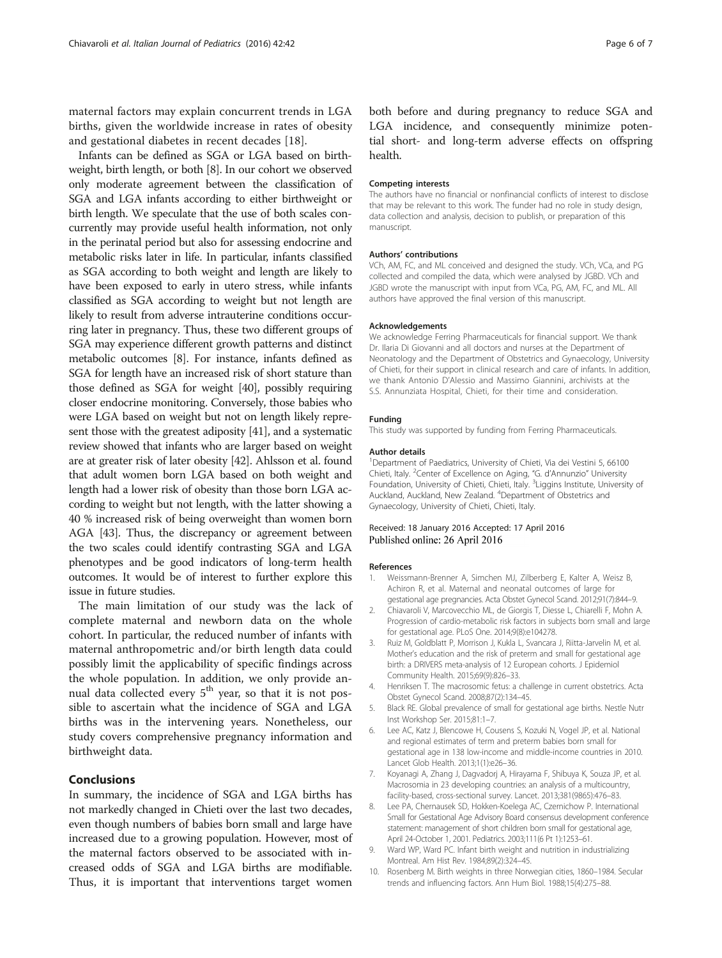<span id="page-5-0"></span>maternal factors may explain concurrent trends in LGA births, given the worldwide increase in rates of obesity and gestational diabetes in recent decades [[18](#page-6-0)].

Infants can be defined as SGA or LGA based on birthweight, birth length, or both [8]. In our cohort we observed only moderate agreement between the classification of SGA and LGA infants according to either birthweight or birth length. We speculate that the use of both scales concurrently may provide useful health information, not only in the perinatal period but also for assessing endocrine and metabolic risks later in life. In particular, infants classified as SGA according to both weight and length are likely to have been exposed to early in utero stress, while infants classified as SGA according to weight but not length are likely to result from adverse intrauterine conditions occurring later in pregnancy. Thus, these two different groups of SGA may experience different growth patterns and distinct metabolic outcomes [8]. For instance, infants defined as SGA for length have an increased risk of short stature than those defined as SGA for weight [[40](#page-6-0)], possibly requiring closer endocrine monitoring. Conversely, those babies who were LGA based on weight but not on length likely represent those with the greatest adiposity [\[41\]](#page-6-0), and a systematic review showed that infants who are larger based on weight are at greater risk of later obesity [\[42\]](#page-6-0). Ahlsson et al. found that adult women born LGA based on both weight and length had a lower risk of obesity than those born LGA according to weight but not length, with the latter showing a 40 % increased risk of being overweight than women born AGA [\[43\]](#page-6-0). Thus, the discrepancy or agreement between the two scales could identify contrasting SGA and LGA phenotypes and be good indicators of long-term health outcomes. It would be of interest to further explore this issue in future studies.

The main limitation of our study was the lack of complete maternal and newborn data on the whole cohort. In particular, the reduced number of infants with maternal anthropometric and/or birth length data could possibly limit the applicability of specific findings across the whole population. In addition, we only provide annual data collected every  $5<sup>th</sup>$  year, so that it is not possible to ascertain what the incidence of SGA and LGA births was in the intervening years. Nonetheless, our study covers comprehensive pregnancy information and birthweight data.

# Conclusions

In summary, the incidence of SGA and LGA births has not markedly changed in Chieti over the last two decades, even though numbers of babies born small and large have increased due to a growing population. However, most of the maternal factors observed to be associated with increased odds of SGA and LGA births are modifiable. Thus, it is important that interventions target women

both before and during pregnancy to reduce SGA and LGA incidence, and consequently minimize potential short- and long-term adverse effects on offspring health.

#### Competing interests

The authors have no financial or nonfinancial conflicts of interest to disclose that may be relevant to this work. The funder had no role in study design, data collection and analysis, decision to publish, or preparation of this manuscript.

#### Authors' contributions

VCh, AM, FC, and ML conceived and designed the study. VCh, VCa, and PG collected and compiled the data, which were analysed by JGBD. VCh and JGBD wrote the manuscript with input from VCa, PG, AM, FC, and ML. All authors have approved the final version of this manuscript.

#### Acknowledgements

We acknowledge Ferring Pharmaceuticals for financial support. We thank Dr. Ilaria Di Giovanni and all doctors and nurses at the Department of Neonatology and the Department of Obstetrics and Gynaecology, University of Chieti, for their support in clinical research and care of infants. In addition, we thank Antonio D'Alessio and Massimo Giannini, archivists at the S.S. Annunziata Hospital, Chieti, for their time and consideration.

#### Funding

This study was supported by funding from Ferring Pharmaceuticals.

#### Author details

<sup>1</sup>Department of Paediatrics, University of Chieti, Via dei Vestini 5, 66100 Chieti, Italy. <sup>2</sup>Center of Excellence on Aging, "G. d'Annunzio" University Foundation, University of Chieti, Chieti, Italy. <sup>3</sup> Liggins Institute, University of Auckland, Auckland, New Zealand. <sup>4</sup>Department of Obstetrics and Gynaecology, University of Chieti, Chieti, Italy.

#### Received: 18 January 2016 Accepted: 17 April 2016 Published online: 26 April 2016

#### References

- 1. Weissmann-Brenner A, Simchen MJ, Zilberberg E, Kalter A, Weisz B, Achiron R, et al. Maternal and neonatal outcomes of large for gestational age pregnancies. Acta Obstet Gynecol Scand. 2012;91(7):844–9.
- 2. Chiavaroli V, Marcovecchio ML, de Giorgis T, Diesse L, Chiarelli F, Mohn A. Progression of cardio-metabolic risk factors in subjects born small and large for gestational age. PLoS One. 2014;9(8):e104278.
- 3. Ruiz M, Goldblatt P, Morrison J, Kukla L, Svancara J, Riitta-Jarvelin M, et al. Mother's education and the risk of preterm and small for gestational age birth: a DRIVERS meta-analysis of 12 European cohorts. J Epidemiol Community Health. 2015;69(9):826–33.
- 4. Henriksen T. The macrosomic fetus: a challenge in current obstetrics. Acta Obstet Gynecol Scand. 2008;87(2):134–45.
- 5. Black RE. Global prevalence of small for gestational age births. Nestle Nutr Inst Workshop Ser. 2015;81:1–7.
- 6. Lee AC, Katz J, Blencowe H, Cousens S, Kozuki N, Vogel JP, et al. National and regional estimates of term and preterm babies born small for gestational age in 138 low-income and middle-income countries in 2010. Lancet Glob Health. 2013;1(1):e26–36.
- 7. Koyanagi A, Zhang J, Dagvadorj A, Hirayama F, Shibuya K, Souza JP, et al. Macrosomia in 23 developing countries: an analysis of a multicountry, facility-based, cross-sectional survey. Lancet. 2013;381(9865):476–83.
- 8. Lee PA, Chernausek SD, Hokken-Koelega AC, Czernichow P. International Small for Gestational Age Advisory Board consensus development conference statement: management of short children born small for gestational age, April 24-October 1, 2001. Pediatrics. 2003;111(6 Pt 1):1253–61.
- 9. Ward WP, Ward PC. Infant birth weight and nutrition in industrializing Montreal. Am Hist Rev. 1984;89(2):324–45.
- 10. Rosenberg M. Birth weights in three Norwegian cities, 1860–1984. Secular trends and influencing factors. Ann Hum Biol. 1988;15(4):275–88.